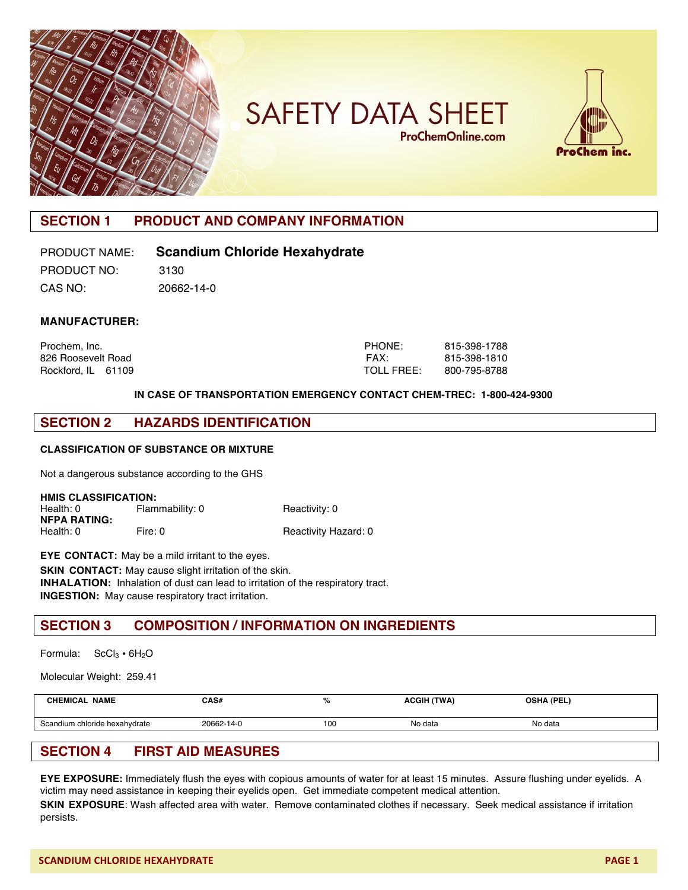

# **SAFETY DATA SHEET ProChemOnline.com**



# **SECTION 1 PRODUCT AND COMPANY INFORMATION**

## PRODUCT NAME: **Scandium Chloride Hexahydrate**

PRODUCT NO: 3130 CAS NO: 20662-14-0

**MANUFACTURER:**

| Prochem, Inc.      | <b>PHONE:</b>     | 815-398-1788 |
|--------------------|-------------------|--------------|
| 826 Roosevelt Road | FAX:              | 815-398-1810 |
| Rockford, IL 61109 | <b>TOLL FREE:</b> | 800-795-8788 |

#### **IN CASE OF TRANSPORTATION EMERGENCY CONTACT CHEM-TREC: 1-800-424-9300**

### **SECTION 2 HAZARDS IDENTIFICATION**

#### **CLASSIFICATION OF SUBSTANCE OR MIXTURE**

Not a dangerous substance according to the GHS

| <b>HMIS CLASSIFICATION:</b> |                 |                      |  |  |  |
|-----------------------------|-----------------|----------------------|--|--|--|
| Health: 0                   | Flammability: 0 | Reactivity: 0        |  |  |  |
| <b>NFPA RATING:</b>         |                 |                      |  |  |  |
| Health: 0                   | Fire: 0         | Reactivity Hazard: 0 |  |  |  |

**EYE CONTACT:** May be a mild irritant to the eyes. **SKIN CONTACT:** May cause slight irritation of the skin. **INHALATION:** Inhalation of dust can lead to irritation of the respiratory tract. **INGESTION:** May cause respiratory tract irritation.

#### **SECTION 3 COMPOSITION / INFORMATION ON INGREDIENTS**

Formula:  $SCl<sub>3</sub> \cdot 6H<sub>2</sub>O$ 

Molecular Weight: 259.41

| <b>NAME</b><br>CHEMICAL       | CAS#       | %   | <b>ACGIH (TWA)</b> | <b>OSHA (PEL)</b> |
|-------------------------------|------------|-----|--------------------|-------------------|
| Scandium chloride hexahydrate | 20662-14-0 | 100 | No data            | No data           |
|                               |            |     |                    |                   |

### **SECTION 4 FIRST AID MEASURES**

**EYE EXPOSURE:** Immediately flush the eyes with copious amounts of water for at least 15 minutes. Assure flushing under eyelids. A victim may need assistance in keeping their eyelids open. Get immediate competent medical attention.

**SKIN EXPOSURE**: Wash affected area with water. Remove contaminated clothes if necessary. Seek medical assistance if irritation persists.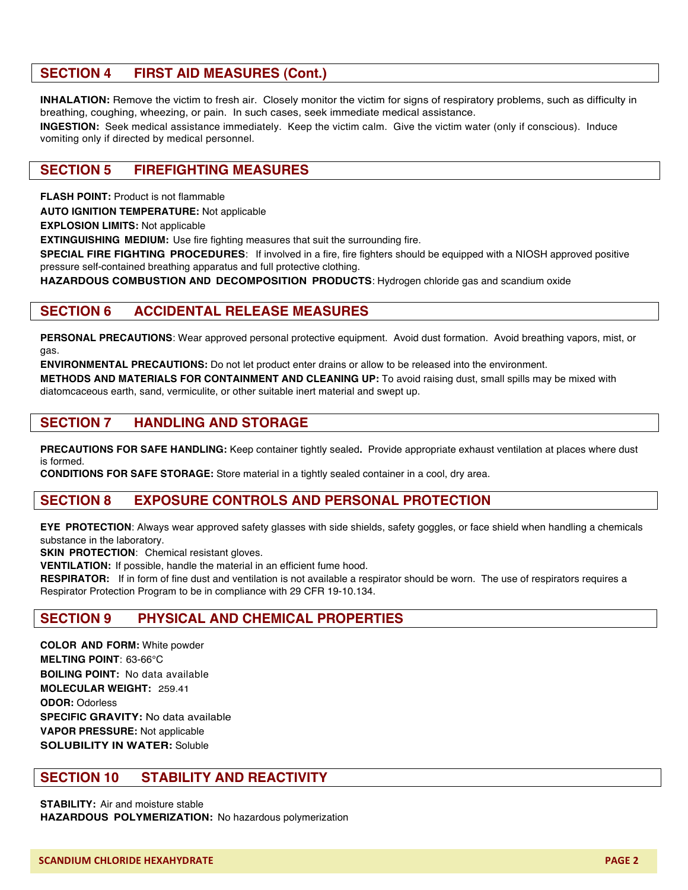## **SECTION 4 FIRST AID MEASURES (Cont.)**

**INHALATION:** Remove the victim to fresh air. Closely monitor the victim for signs of respiratory problems, such as difficulty in breathing, coughing, wheezing, or pain. In such cases, seek immediate medical assistance.

**INGESTION:** Seek medical assistance immediately. Keep the victim calm. Give the victim water (only if conscious). Induce vomiting only if directed by medical personnel.

#### **SECTION 5 FIREFIGHTING MEASURES**

**FLASH POINT: Product is not flammable** 

**AUTO IGNITION TEMPERATURE:** Not applicable

**EXPLOSION LIMITS:** Not applicable

**EXTINGUISHING MEDIUM:** Use fire fighting measures that suit the surrounding fire.

**SPECIAL FIRE FIGHTING PROCEDURES**: If involved in a fire, fire fighters should be equipped with a NIOSH approved positive pressure self-contained breathing apparatus and full protective clothing.

**HAZARDOUS COMBUSTION AND DECOMPOSITION PRODUCTS**: Hydrogen chloride gas and scandium oxide

#### **SECTION 6 ACCIDENTAL RELEASE MEASURES**

**PERSONAL PRECAUTIONS**: Wear approved personal protective equipment.Avoid dust formation. Avoid breathing vapors, mist, or gas.

**ENVIRONMENTAL PRECAUTIONS:** Do not let product enter drains or allow to be released into the environment.

**METHODS AND MATERIALS FOR CONTAINMENT AND CLEANING UP:** To avoid raising dust, small spills may be mixed with diatomcaceous earth, sand, vermiculite, or other suitable inert material and swept up.

#### **SECTION 7 HANDLING AND STORAGE**

**PRECAUTIONS FOR SAFE HANDLING:** Keep container tightly sealed**.** Provide appropriate exhaust ventilation at places where dust is formed.

**CONDITIONS FOR SAFE STORAGE:** Store material in a tightly sealed container in a cool, dry area.

### **SECTION 8 EXPOSURE CONTROLS AND PERSONAL PROTECTION**

**EYE PROTECTION**: Always wear approved safety glasses with side shields, safety goggles, or face shield when handling a chemicals substance in the laboratory.

**SKIN PROTECTION**: Chemical resistant gloves.

**VENTILATION:** If possible, handle the material in an efficient fume hood.

**RESPIRATOR:** If in form of fine dust and ventilation is not available a respirator should be worn. The use of respirators requires a Respirator Protection Program to be in compliance with 29 CFR 19-10.134.

### **SECTION 9 PHYSICAL AND CHEMICAL PROPERTIES**

**COLOR AND FORM:** White powder **MELTING POINT**: 63-66°C **BOILING POINT:** No data available **MOLECULAR WEIGHT:** 259.41 **ODOR:** Odorless **SPECIFIC GRAVITY:** No data available **VAPOR PRESSURE:** Not applicable **SOLUBILITY IN WATER:** Soluble

### **SECTION 10 STABILITY AND REACTIVITY**

**STABILITY:** Air and moisture stable **HAZARDOUS POLYMERIZATION:** No hazardous polymerization